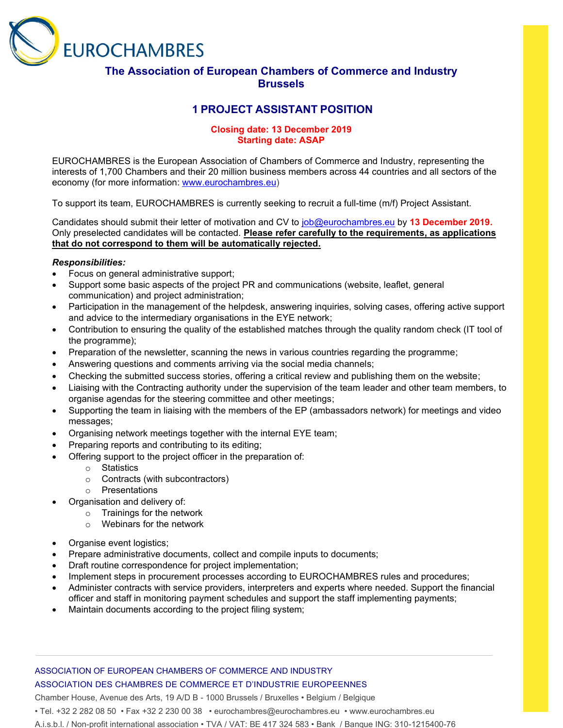

## **The Association of European Chambers of Commerce and Industry Brussels**

# **1 PROJECT ASSISTANT POSITION**

### **Closing date: 13 December 2019 Starting date: ASAP**

EUROCHAMBRES is the European Association of Chambers of Commerce and Industry, representing the interests of 1,700 Chambers and their 20 million business members across 44 countries and all sectors of the economy (for more information: [www.eurochambres.eu\)](http://www.eurochambres.eu/)

To support its team, EUROCHAMBRES is currently seeking to recruit a full-time (m/f) Project Assistant.

Candidates should submit their letter of motivation and CV to [job@eurochambres.eu](mailto:job@eurochambres.eu) by **13 December 2019.** Only preselected candidates will be contacted. **Please refer carefully to the requirements, as applications that do not correspond to them will be automatically rejected.**

### *Responsibilities:*

- Focus on general administrative support;
- Support some basic aspects of the project PR and communications (website, leaflet, general communication) and project administration;
- Participation in the management of the helpdesk, answering inquiries, solving cases, offering active support and advice to the intermediary organisations in the EYE network;
- Contribution to ensuring the quality of the established matches through the quality random check (IT tool of the programme);
- Preparation of the newsletter, scanning the news in various countries regarding the programme;
- Answering questions and comments arriving via the social media channels;
- Checking the submitted success stories, offering a critical review and publishing them on the website;
- Liaising with the Contracting authority under the supervision of the team leader and other team members, to organise agendas for the steering committee and other meetings;
- Supporting the team in liaising with the members of the EP (ambassadors network) for meetings and video messages;
- Organising network meetings together with the internal EYE team;
- Preparing reports and contributing to its editing;
- Offering support to the project officer in the preparation of:
	- o Statistics
	- o Contracts (with subcontractors)
	- o Presentations
- Organisation and delivery of:
	- o Trainings for the network
		- o Webinars for the network
- Organise event logistics;
- Prepare administrative documents, collect and compile inputs to documents;
- Draft routine correspondence for project implementation;
- Implement steps in procurement processes according to EUROCHAMBRES rules and procedures;
- Administer contracts with service providers, interpreters and experts where needed. Support the financial officer and staff in monitoring payment schedules and support the staff implementing payments;
- Maintain documents according to the project filing system;

### ASSOCIATION OF EUROPEAN CHAMBERS OF COMMERCE AND INDUSTRY ASSOCIATION DES CHAMBRES DE COMMERCE ET D'INDUSTRIE EUROPEENNES

Chamber House, Avenue des Arts, 19 A/D B - 1000 Brussels / Bruxelles • Belgium / Belgique

• Tel. +32 2 282 08 50 • Fax +32 2 230 00 38 • eurochambres@eurochambres.eu • www.eurochambres.eu

A.i.s.b.l. / Non-profit international association • TVA / VAT: BE 417 324 583 • Bank / Banque ING: 310-1215400-76